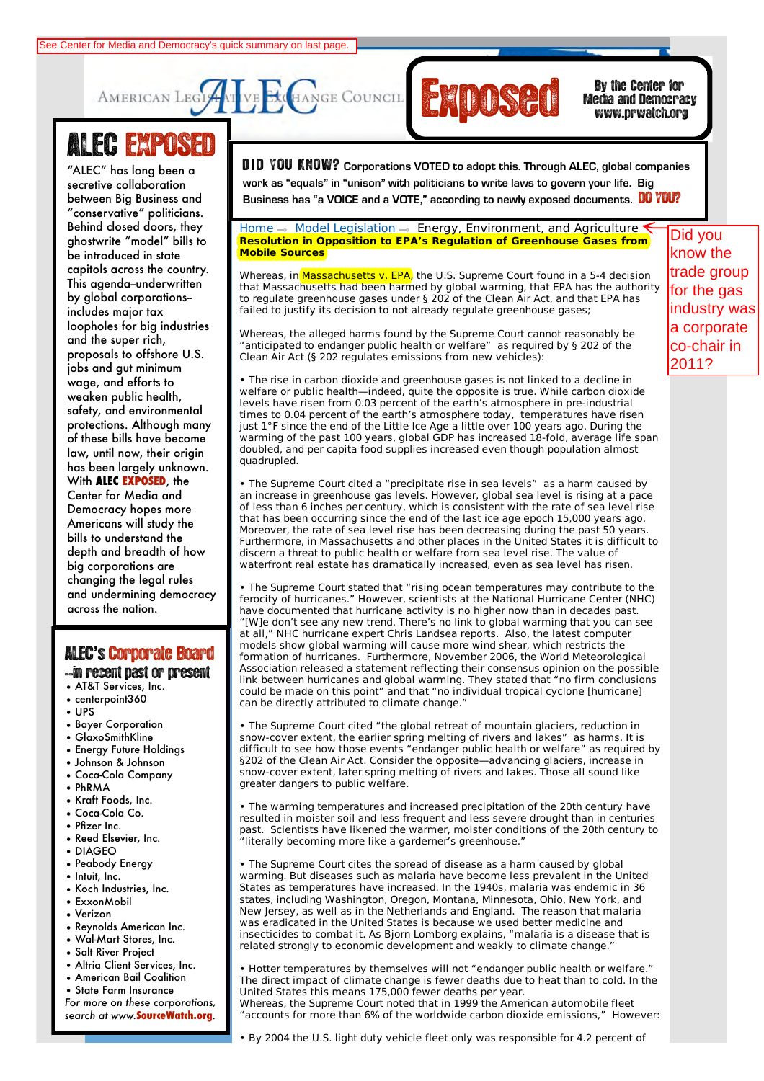



Media and Democracy www.prwatch.org

## ALEC EXPOSED

NEWS "conservative" politicians. bening ciosed doors, mey<br>ghostwrite "model" bills to **Civil Justice** be introduced in state **Commerce, Insurance,** capitols across the country. **and Economic** This agenda--underwritten **Development** by global corporations-- **External completed**<br>loopholes for big industries and the super rich*,* **and Agriculture** proposals to offshore U.S. **Federal Relations** wage, and efforts to **Health and Human** weaken public health, **Services** safety, and environmental **International Relations** of these bills have become **Public Safety and** law, until now, their origin **Elections** has been largely unknown. **Tax Collection**, the Center for Media and Democracy hopes more **and Information** Americans will study the **Technology** bills to understand the big corporations are changing the legal rules across the nation. "ALEC" has long been a secretive collaboration between Big Business and Behind closed doors, they includes major tax jobs and gut minimum protections. Although many With **ALEC EXPOSED**, the depth and breadth of how and undermining democracy See Center for Media and Democracy's quick summary on last page.<br>
AMERICAN LEGITANGE COUNCILE TRIMING IN THE MEDIA TO THE RECOUNCILE TRIMING IN THE RECOUNCILE TRIMING IN THE RECOUNCILE TRIMING THE TRIMING THE TRIMING TRIMI

## ALEC**'**s'Corporate Board

- --in recent past or present
- AT&T Services, Inc.
- centerpoint360
- UPS
- Bayer Corporation
- GlaxoSmithKline
- Energy Future Holdings
- Johnson & Johnson
- Coca-Cola Company
- PhRMA
- Kraft Foods, Inc.
- Coca-Cola Co.
- Pfizer Inc.
- Reed Elsevier, Inc. • DIAGEO
- Peabody Energy
- Intuit, Inc.
- Koch Industries, Inc.
- ExxonMobil
- **Verizon**
- Reynolds American Inc.
- Wal-Mart Stores, Inc.
- Salt River Project
- Altria Client Services, Inc.
- American Bail Coalition
- State Farm Insurance
- *For more on these corporations, search at www.***SourceWatch.org**.

 $^{\prime\prime}$  has long been a **IDID YOU KNOW?** Corporations VOTED to adopt this. Through ALEC, global companies **work as "equals" in "unison" with politicians to write laws to govern your life. Big** 

about the condition members in the Members of the Members of the Members of the Memers. Do **YOU?**<br>Business and **Business has "a VOICE and a VOTE**," according to newly exposed documents. Do YOU?

## $Home \rightarrow Model$  Legislation  $\rightarrow$  Energy, Environment, and Agriculture \* **Resolution in Opposition to EPA's Regulation of Greenhouse Gases from Mobile Sources**

Whereas, in Massachusetts v. EPA, the U.S. Supreme Court found in a 5-4 decision that Massachusetts had been harmed by global warming, that EPA has the authority to regulate greenhouse gases under § 202 of the Clean Air Act, and that EPA has failed to justify its decision to not already regulate greenhouse gases;

Whereas, the alleged harms found by the Supreme Court cannot reasonably be "anticipated to endanger public health or welfare" as required by § 202 of the Clean Air Act (§ 202 regulates emissions from new vehicles):

• The rise in carbon dioxide and greenhouse gases is not linked to a decline in welfare or public health—indeed, quite the opposite is true. While carbon dioxide levels have risen from 0.03 percent of the earth's atmosphere in pre-industrial times to 0.04 percent of the earth's atmosphere today, temperatures have risen just 1°F since the end of the Little Ice Age a little over 100 years ago. During the warming of the past 100 years, global GDP has increased 18-fold, average life span doubled, and per capita food supplies increased even though population almost quadrupled.

• The Supreme Court cited a "precipitate rise in sea levels" as a harm caused by an increase in greenhouse gas levels. However, global sea level is rising at a pace of less than 6 inches per century, which is consistent with the rate of sea level rise that has been occurring since the end of the last ice age epoch 15,000 years ago. Moreover, the rate of sea level rise has been decreasing during the past 50 years. Furthermore, in Massachusetts and other places in the United States it is difficult to discern a threat to public health or welfare from sea level rise. The value of waterfront real estate has dramatically increased, even as sea level has risen.

• The Supreme Court stated that "rising ocean temperatures may contribute to the ferocity of hurricanes." However, scientists at the National Hurricane Center (NHC) have documented that hurricane activity is no higher now than in decades past. "[W]e don't see any new trend. There's no link to global warming that you can see at all," NHC hurricane expert Chris Landsea reports. Also, the latest computer models show global warming will cause more wind shear, which restricts the formation of hurricanes. Furthermore, November 2006, the World Meteorological Association released a statement reflecting their consensus opinion on the possible link between hurricanes and global warming. They stated that "no firm conclusions could be made on this point" and that "no individual tropical cyclone [hurricane] can be directly attributed to climate change."

• The Supreme Court cited "the global retreat of mountain glaciers, reduction in snow-cover extent, the earlier spring melting of rivers and lakes" as harms. It is difficult to see how those events "endanger public health or welfare" as required by §202 of the Clean Air Act. Consider the opposite—advancing glaciers, increase in snow-cover extent, later spring melting of rivers and lakes. Those all sound like greater dangers to public welfare.

• The warming temperatures and increased precipitation of the 20th century have resulted in moister soil and less frequent and less severe drought than in centuries past. Scientists have likened the warmer, moister conditions of the 20th century to "literally becoming more like a garderner's greenhouse."

The Supreme Court cites the spread of disease as a harm caused by global warming. But diseases such as malaria have become less prevalent in the United States as temperatures have increased. In the 1940s, malaria was endemic in 36 states, including Washington, Oregon, Montana, Minnesota, Ohio, New York, and New Jersey, as well as in the Netherlands and England. The reason that malaria was eradicated in the United States is because we used better medicine and insecticides to combat it. As Bjorn Lomborg explains, "malaria is a disease that is related strongly to economic development and weakly to climate change."

• Hotter temperatures by themselves will not "endanger public health or welfare." The direct impact of climate change is fewer deaths due to heat than to cold. In the United States this means 175,000 fewer deaths per year. Whereas, the Supreme Court noted that in 1999 the American automobile fleet "accounts for more than 6% of the worldwide carbon dioxide emissions," However:

• By 2004 the U.S. light duty vehicle fleet only was responsible for 4.2 percent of

Did you know the trade group for the gas industry was a corporate co-chair in